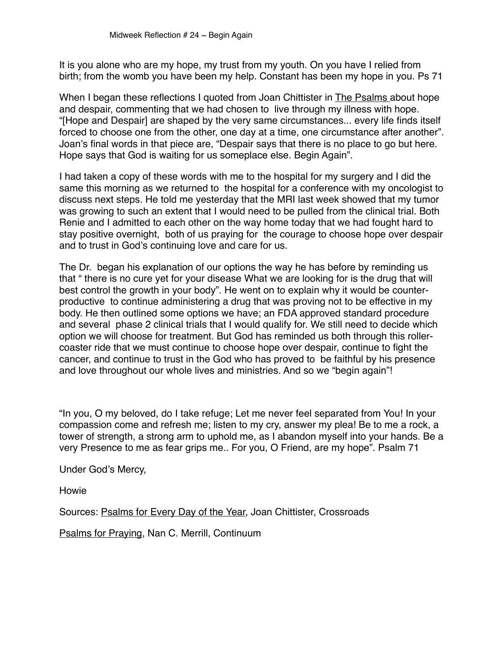It is you alone who are my hope, my trust from my youth. On you have I relied from birth; from the womb you have been my help. Constant has been my hope in you. Ps 71

When I began these reflections I quoted from Joan Chittister in The Psalms about hope and despair, commenting that we had chosen to live through my illness with hope. "[Hope and Despair] are shaped by the very same circumstances... every life finds itself forced to choose one from the other, one day at a time, one circumstance after another". Joan's final words in that piece are, "Despair says that there is no place to go but here. Hope says that God is waiting for us someplace else. Begin Again".

I had taken a copy of these words with me to the hospital for my surgery and I did the same this morning as we returned to the hospital for a conference with my oncologist to discuss next steps. He told me yesterday that the MRI last week showed that my tumor was growing to such an extent that I would need to be pulled from the clinical trial. Both Renie and I admitted to each other on the way home today that we had fought hard to stay positive overnight, both of us praying for the courage to choose hope over despair and to trust in God's continuing love and care for us.

The Dr. began his explanation of our options the way he has before by reminding us that " there is no cure yet for your disease What we are looking for is the drug that will best control the growth in your body". He went on to explain why it would be counterproductive to continue administering a drug that was proving not to be effective in my body. He then outlined some options we have; an FDA approved standard procedure and several phase 2 clinical trials that I would qualify for. We still need to decide which option we will choose for treatment. But God has reminded us both through this rollercoaster ride that we must continue to choose hope over despair, continue to fight the cancer, and continue to trust in the God who has proved to be faithful by his presence and love throughout our whole lives and ministries. And so we "begin again"!

"In you, O my beloved, do I take refuge; Let me never feel separated from You! In your compassion come and refresh me; listen to my cry, answer my plea! Be to me a rock, a tower of strength, a strong arm to uphold me, as I abandon myself into your hands. Be a very Presence to me as fear grips me.. For you, O Friend, are my hope". Psalm 71

Under God's Mercy,

Howie

Sources: Psalms for Every Day of the Year, Joan Chittister, Crossroads

Psalms for Praying, Nan C. Merrill, Continuum